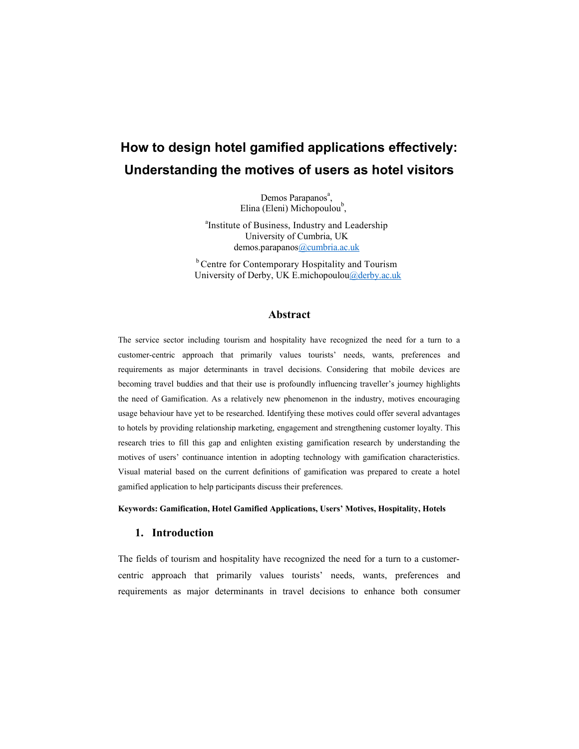# **How to design hotel gamified applications effectively: Understanding the motives of users as hotel visitors**

Demos Parapanos<sup>a</sup>, Elina (Eleni) Michopoulou<sup>b</sup>,

<sup>a</sup>Institute of Business, Industry and Leadership University of Cumbria, UK demos.parapanos[@cumbria.ac.uk](mailto:cantoni@usi.ch)

<sup>b</sup> Centre for Contemporary Hospitality and Tourism University of Derby, UK E.michopoulou[@derby.ac.uk](mailto:cantoni@usi.ch)

## **Abstract**

The service sector including tourism and hospitality have recognized the need for a turn to a customer-centric approach that primarily values tourists' needs, wants, preferences and requirements as major determinants in travel decisions. Considering that mobile devices are becoming travel buddies and that their use is profoundly influencing traveller's journey highlights the need of Gamification. As a relatively new phenomenon in the industry, motives encouraging usage behaviour have yet to be researched. Identifying these motives could offer several advantages to hotels by providing relationship marketing, engagement and strengthening customer loyalty. This research tries to fill this gap and enlighten existing gamification research by understanding the motives of users' continuance intention in adopting technology with gamification characteristics. Visual material based on the current definitions of gamification was prepared to create a hotel gamified application to help participants discuss their preferences.

#### **Keywords: Gamification, Hotel Gamified Applications, Users' Motives, Hospitality, Hotels**

#### **1. Introduction**

The fields of tourism and hospitality have recognized the need for a turn to a customercentric approach that primarily values tourists' needs, wants, preferences and requirements as major determinants in travel decisions to enhance both consumer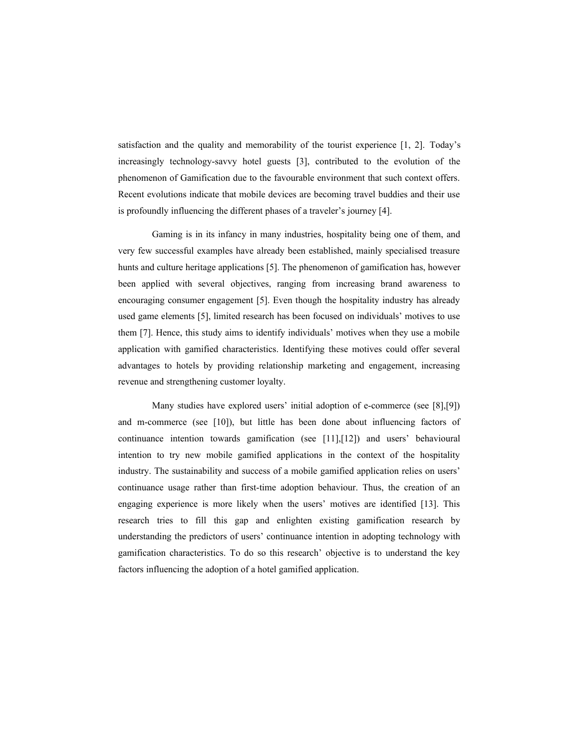satisfaction and the quality and memorability of the tourist experience [1, 2]. Today's increasingly technology-savvy hotel guests [3], contributed to the evolution of the phenomenon of Gamification due to the favourable environment that such context offers. Recent evolutions indicate that mobile devices are becoming travel buddies and their use is profoundly influencing the different phases of a traveler's journey [4].

Gaming is in its infancy in many industries, hospitality being one of them, and very few successful examples have already been established, mainly specialised treasure hunts and culture heritage applications [5]. The phenomenon of gamification has, however been applied with several objectives, ranging from increasing brand awareness to encouraging consumer engagement [5]. Even though the hospitality industry has already used game elements [5], limited research has been focused on individuals' motives to use them [7]. Hence, this study aims to identify individuals' motives when they use a mobile application with gamified characteristics. Identifying these motives could offer several advantages to hotels by providing relationship marketing and engagement, increasing revenue and strengthening customer loyalty.

Many studies have explored users' initial adoption of e-commerce (see [8],[9]) and m-commerce (see [10]), but little has been done about influencing factors of continuance intention towards gamification (see [11],[12]) and users' behavioural intention to try new mobile gamified applications in the context of the hospitality industry. The sustainability and success of a mobile gamified application relies on users' continuance usage rather than first-time adoption behaviour. Thus, the creation of an engaging experience is more likely when the users' motives are identified [13]. This research tries to fill this gap and enlighten existing gamification research by understanding the predictors of users' continuance intention in adopting technology with gamification characteristics. To do so this research' objective is to understand the key factors influencing the adoption of a hotel gamified application.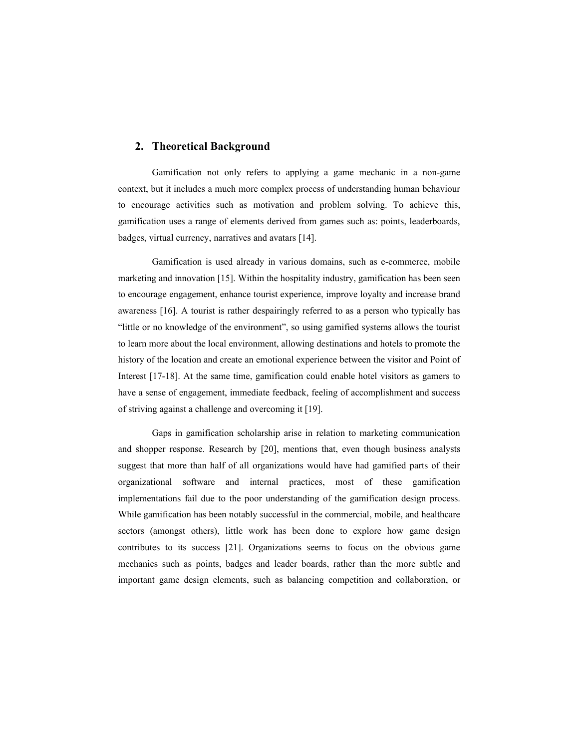## **2. Theoretical Background**

Gamification not only refers to applying a game mechanic in a non-game context, but it includes a much more complex process of understanding human behaviour to encourage activities such as motivation and problem solving. To achieve this, gamification uses a range of elements derived from games such as: points, leaderboards, badges, virtual currency, narratives and avatars [14].

Gamification is used already in various domains, such as e-commerce, mobile marketing and innovation [15]. Within the hospitality industry, gamification has been seen to encourage engagement, enhance tourist experience, improve loyalty and increase brand awareness [16]. A tourist is rather despairingly referred to as a person who typically has "little or no knowledge of the environment", so using gamified systems allows the tourist to learn more about the local environment, allowing destinations and hotels to promote the history of the location and create an emotional experience between the visitor and Point of Interest [17-18]. At the same time, gamification could enable hotel visitors as gamers to have a sense of engagement, immediate feedback, feeling of accomplishment and success of striving against a challenge and overcoming it [19].

Gaps in gamification scholarship arise in relation to marketing communication and shopper response. Research by [20], mentions that, even though business analysts suggest that more than half of all organizations would have had gamified parts of their organizational software and internal practices, most of these gamification implementations fail due to the poor understanding of the gamification design process. While gamification has been notably successful in the commercial, mobile, and healthcare sectors (amongst others), little work has been done to explore how game design contributes to its success [21]. Organizations seems to focus on the obvious game mechanics such as points, badges and leader boards, rather than the more subtle and important game design elements, such as balancing competition and collaboration, or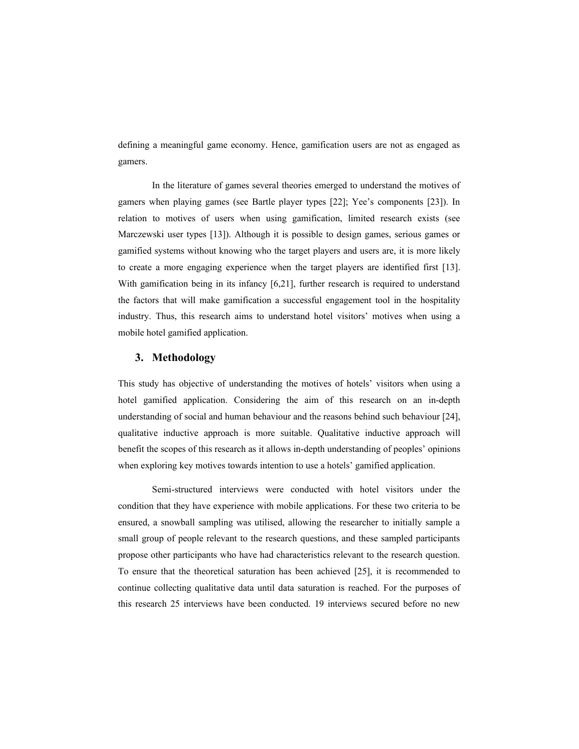defining a meaningful game economy. Hence, gamification users are not as engaged as gamers.

In the literature of games several theories emerged to understand the motives of gamers when playing games (see Bartle player types [22]; Yee's components [23]). In relation to motives of users when using gamification, limited research exists (see Marczewski user types [13]). Although it is possible to design games, serious games or gamified systems without knowing who the target players and users are, it is more likely to create a more engaging experience when the target players are identified first [13]. With gamification being in its infancy [6,21], further research is required to understand the factors that will make gamification a successful engagement tool in the hospitality industry. Thus, this research aims to understand hotel visitors' motives when using a mobile hotel gamified application.

### **3. Methodology**

This study has objective of understanding the motives of hotels' visitors when using a hotel gamified application. Considering the aim of this research on an in-depth understanding of social and human behaviour and the reasons behind such behaviour [24], qualitative inductive approach is more suitable. Qualitative inductive approach will benefit the scopes of this research as it allows in-depth understanding of peoples' opinions when exploring key motives towards intention to use a hotels' gamified application.

Semi-structured interviews were conducted with hotel visitors under the condition that they have experience with mobile applications. For these two criteria to be ensured, a snowball sampling was utilised, allowing the researcher to initially sample a small group of people relevant to the research questions, and these sampled participants propose other participants who have had characteristics relevant to the research question. To ensure that the theoretical saturation has been achieved [25], it is recommended to continue collecting qualitative data until data saturation is reached. For the purposes of this research 25 interviews have been conducted. 19 interviews secured before no new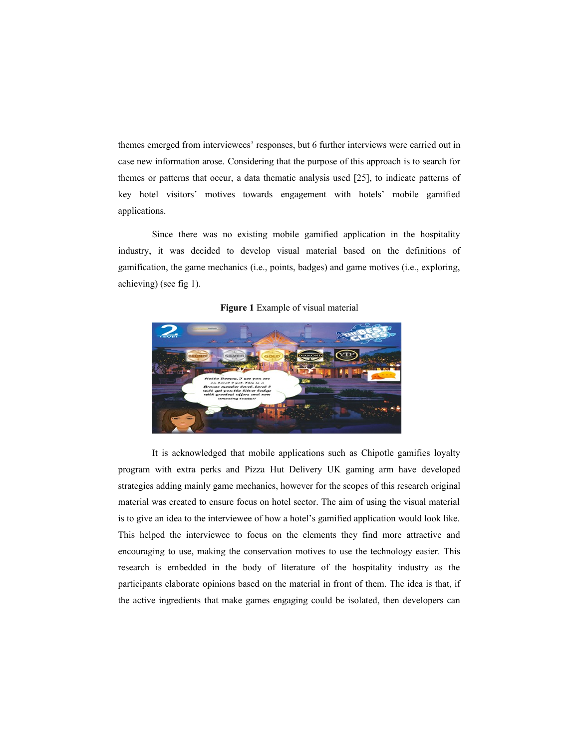themes emerged from interviewees' responses, but 6 further interviews were carried out in case new information arose. Considering that the purpose of this approach is to search for themes or patterns that occur, a data thematic analysis used [25], to indicate patterns of key hotel visitors' motives towards engagement with hotels' mobile gamified applications.

Since there was no existing mobile gamified application in the hospitality industry, it was decided to develop visual material based on the definitions of gamification, the game mechanics (i.e., points, badges) and game motives (i.e., exploring, achieving) (see fig 1).



#### **Figure 1** Example of visual material

It is acknowledged that mobile applications such as Chipotle gamifies loyalty program with extra perks and Pizza Hut Delivery UK gaming arm have developed strategies adding mainly game mechanics, however for the scopes of this research original material was created to ensure focus on hotel sector. The aim of using the visual material is to give an idea to the interviewee of how a hotel's gamified application would look like. This helped the interviewee to focus on the elements they find more attractive and encouraging to use, making the conservation motives to use the technology easier. This research is embedded in the body of literature of the hospitality industry as the participants elaborate opinions based on the material in front of them. The idea is that, if the active ingredients that make games engaging could be isolated, then developers can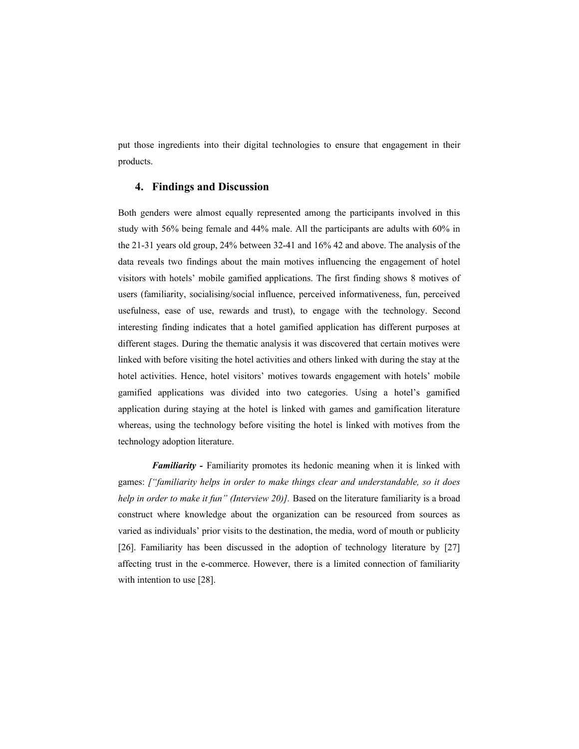put those ingredients into their digital technologies to ensure that engagement in their products.

## **4. Findings and Discussion**

Both genders were almost equally represented among the participants involved in this study with 56% being female and 44% male. All the participants are adults with 60% in the 21-31 years old group, 24% between 32-41 and 16% 42 and above. The analysis of the data reveals two findings about the main motives influencing the engagement of hotel visitors with hotels' mobile gamified applications. The first finding shows 8 motives of users (familiarity, socialising/social influence, perceived informativeness, fun, perceived usefulness, ease of use, rewards and trust), to engage with the technology. Second interesting finding indicates that a hotel gamified application has different purposes at different stages. During the thematic analysis it was discovered that certain motives were linked with before visiting the hotel activities and others linked with during the stay at the hotel activities. Hence, hotel visitors' motives towards engagement with hotels' mobile gamified applications was divided into two categories. Using a hotel's gamified application during staying at the hotel is linked with games and gamification literature whereas, using the technology before visiting the hotel is linked with motives from the technology adoption literature.

*Familiarity -* Familiarity promotes its hedonic meaning when it is linked with games: *["familiarity helps in order to make things clear and understandable, so it does help in order to make it fun" (Interview 20)]*. Based on the literature familiarity is a broad construct where knowledge about the organization can be resourced from sources as varied as individuals' prior visits to the destination, the media, word of mouth or publicity [26]. Familiarity has been discussed in the adoption of technology literature by [27] affecting trust in the e-commerce. However, there is a limited connection of familiarity with intention to use [28].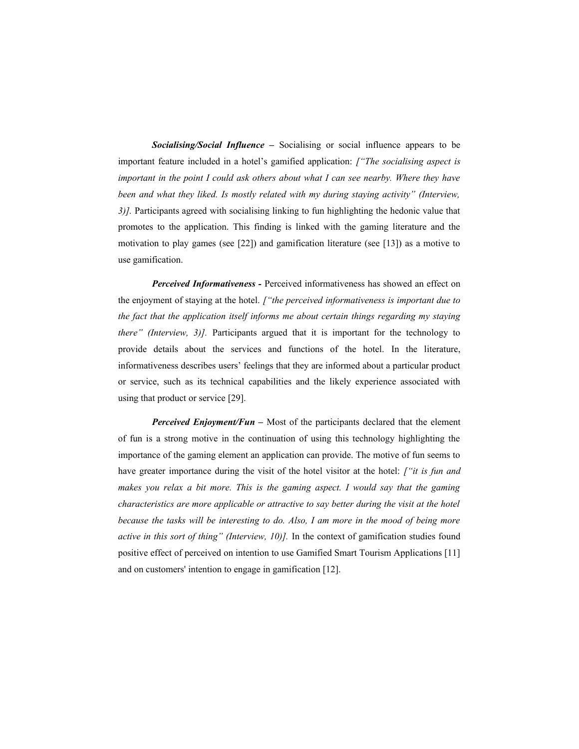*Socialising/Social Influence –* Socialising or social influence appears to be important feature included in a hotel's gamified application: *["The socialising aspect is important in the point I could ask others about what I can see nearby. Where they have been and what they liked. Is mostly related with my during staying activity" (Interview, 3)].* Participants agreed with socialising linking to fun highlighting the hedonic value that promotes to the application. This finding is linked with the gaming literature and the motivation to play games (see [22]) and gamification literature (see [13]) as a motive to use gamification.

*Perceived Informativeness -* Perceived informativeness has showed an effect on the enjoyment of staying at the hotel. *["the perceived informativeness is important due to the fact that the application itself informs me about certain things regarding my staying there" (Interview, 3)].* Participants argued that it is important for the technology to provide details about the services and functions of the hotel. In the literature, informativeness describes users' feelings that they are informed about a particular product or service, such as its technical capabilities and the likely experience associated with using that product or service [29].

*Perceived Enjoyment/Fun –* Most of the participants declared that the element of fun is a strong motive in the continuation of using this technology highlighting the importance of the gaming element an application can provide. The motive of fun seems to have greater importance during the visit of the hotel visitor at the hotel: *["it is fun and makes you relax a bit more. This is the gaming aspect. I would say that the gaming characteristics are more applicable or attractive to say better during the visit at the hotel because the tasks will be interesting to do. Also, I am more in the mood of being more active in this sort of thing" (Interview, 10)].* In the context of gamification studies found positive effect of perceived on intention to use Gamified Smart Tourism Applications [11] and on customers' intention to engage in gamification [12].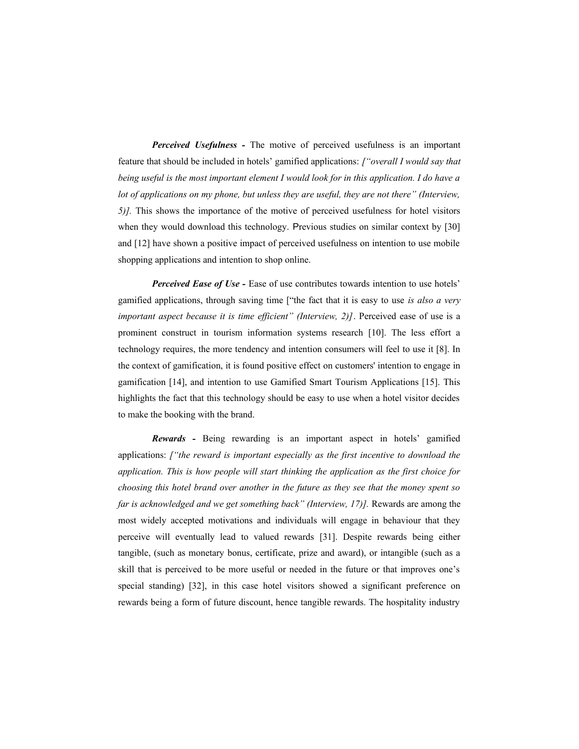*Perceived Usefulness -* The motive of perceived usefulness is an important feature that should be included in hotels' gamified applications: *["overall I would say that being useful is the most important element I would look for in this application. I do have a lot of applications on my phone, but unless they are useful, they are not there" (Interview, 5)].* This shows the importance of the motive of perceived usefulness for hotel visitors when they would download this technology. Previous studies on similar context by [30] and [12] have shown a positive impact of perceived usefulness on intention to use mobile shopping applications and intention to shop online.

*Perceived Ease of Use -* Ease of use contributes towards intention to use hotels' gamified applications, through saving time ["the fact that it is easy to use *is also a very important aspect because it is time efficient" (Interview, 2)]*. Perceived ease of use is a prominent construct in tourism information systems research [10]. The less effort a technology requires, the more tendency and intention consumers will feel to use it [8]. In the context of gamification, it is found positive effect on customers' intention to engage in gamification [14], and intention to use Gamified Smart Tourism Applications [15]. This highlights the fact that this technology should be easy to use when a hotel visitor decides to make the booking with the brand.

*Rewards -* Being rewarding is an important aspect in hotels' gamified applications: *["the reward is important especially as the first incentive to download the application. This is how people will start thinking the application as the first choice for choosing this hotel brand over another in the future as they see that the money spent so far is acknowledged and we get something back" (Interview, 17)].* Rewards are among the most widely accepted motivations and individuals will engage in behaviour that they perceive will eventually lead to valued rewards [31]. Despite rewards being either tangible, (such as monetary bonus, certificate, prize and award), or intangible (such as a skill that is perceived to be more useful or needed in the future or that improves one's special standing) [32], in this case hotel visitors showed a significant preference on rewards being a form of future discount, hence tangible rewards. The hospitality industry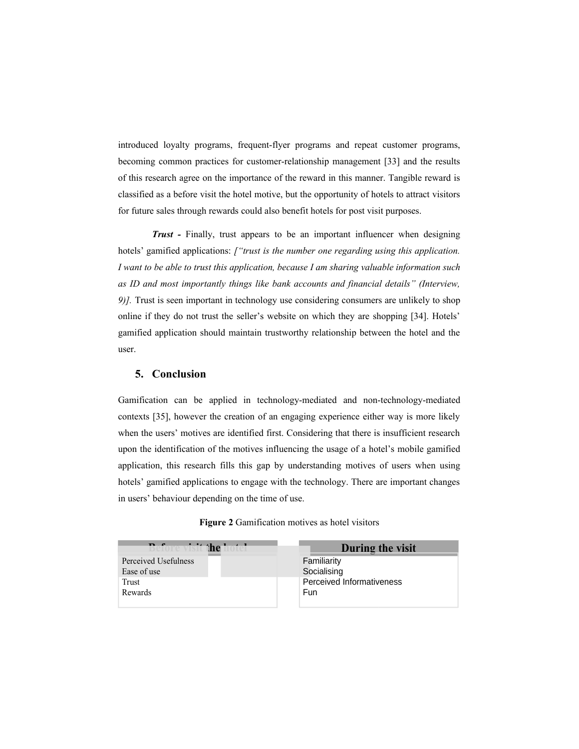introduced loyalty programs, frequent-flyer programs and repeat customer programs, becoming common practices for customer-relationship management [33] and the results of this research agree on the importance of the reward in this manner. Tangible reward is classified as a before visit the hotel motive, but the opportunity of hotels to attract visitors for future sales through rewards could also benefit hotels for post visit purposes.

*Trust -* Finally, trust appears to be an important influencer when designing hotels' gamified applications: *["trust is the number one regarding using this application. I want to be able to trust this application, because I am sharing valuable information such as ID and most importantly things like bank accounts and financial details" (Interview, 9)].* Trust is seen important in technology use considering consumers are unlikely to shop online if they do not trust the seller's website on which they are shopping [34]. Hotels' gamified application should maintain trustworthy relationship between the hotel and the user.

# **5. Conclusion**

Gamification can be applied in technology-mediated and non-technology-mediated contexts [35], however the creation of an engaging experience either way is more likely when the users' motives are identified first. Considering that there is insufficient research upon the identification of the motives influencing the usage of a hotel's mobile gamified application, this research fills this gap by understanding motives of users when using hotels' gamified applications to engage with the technology. There are important changes in users' behaviour depending on the time of use.

| <b>Before visit the h</b> | During the visit          |
|---------------------------|---------------------------|
| Perceived Usefulness      | Familiarity               |
| Ease of use               | Socialising               |
| Trust                     | Perceived Informativeness |
| Rewards                   | Fun                       |
|                           |                           |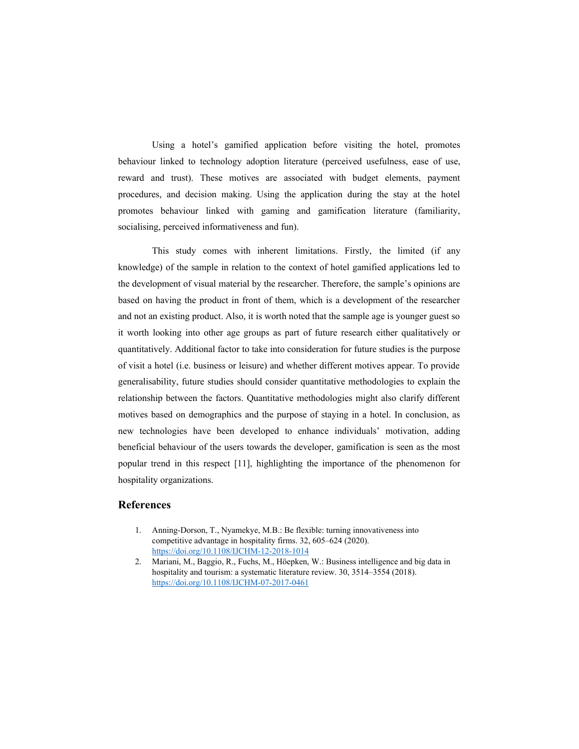Using a hotel's gamified application before visiting the hotel, promotes behaviour linked to technology adoption literature (perceived usefulness, ease of use, reward and trust). These motives are associated with budget elements, payment procedures, and decision making. Using the application during the stay at the hotel promotes behaviour linked with gaming and gamification literature (familiarity, socialising, perceived informativeness and fun).

This study comes with inherent limitations. Firstly, the limited (if any knowledge) of the sample in relation to the context of hotel gamified applications led to the development of visual material by the researcher. Therefore, the sample's opinions are based on having the product in front of them, which is a development of the researcher and not an existing product. Also, it is worth noted that the sample age is younger guest so it worth looking into other age groups as part of future research either qualitatively or quantitatively. Additional factor to take into consideration for future studies is the purpose of visit a hotel (i.e. business or leisure) and whether different motives appear. To provide generalisability, future studies should consider quantitative methodologies to explain the relationship between the factors. Quantitative methodologies might also clarify different motives based on demographics and the purpose of staying in a hotel. In conclusion, as new technologies have been developed to enhance individuals' motivation, adding beneficial behaviour of the users towards the developer, gamification is seen as the most popular trend in this respect [11], highlighting the importance of the phenomenon for hospitality organizations.

## **References**

- 1. Anning-Dorson, T., Nyamekye, M.B.: Be flexible: turning innovativeness into competitive advantage in hospitality firms. 32, 605–624 (2020). <https://doi.org/10.1108/IJCHM-12-2018-1014>
- 2. Mariani, M., Baggio, R., Fuchs, M., Höepken, W.: Business intelligence and big data in hospitality and tourism: a systematic literature review. 30, 3514–3554 (2018). <https://doi.org/10.1108/IJCHM-07-2017-0461>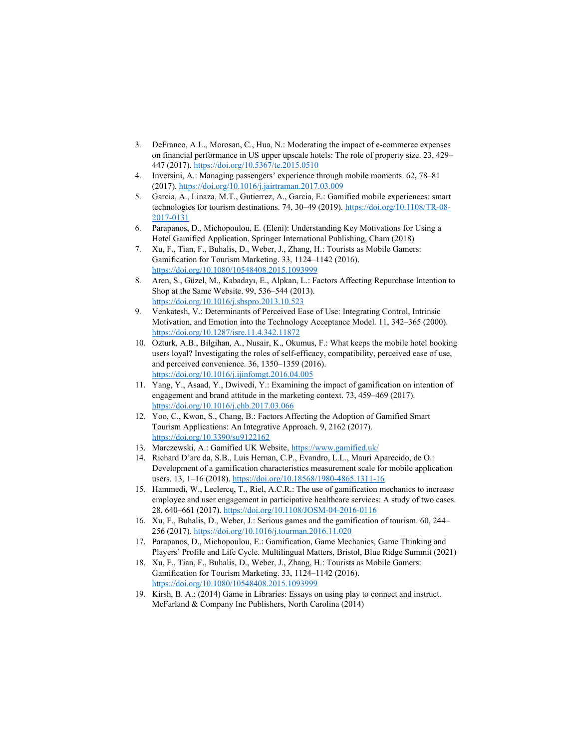- 3. DeFranco, A.L., Morosan, C., Hua, N.: Moderating the impact of e-commerce expenses on financial performance in US upper upscale hotels: The role of property size. 23, 429– 447 (2017).<https://doi.org/10.5367/te.2015.0510>
- 4. Inversini, A.: Managing passengers' experience through mobile moments. 62, 78–81 (2017).<https://doi.org/10.1016/j.jairtraman.2017.03.009>
- 5. Garcia, A., Linaza, M.T., Gutierrez, A., Garcia, E.: Gamified mobile experiences: smart technologies for tourism destinations. 74, 30–49 (2019). [https://doi.org/10.1108/TR-08-](https://doi.org/10.1108/TR-08-2017-0131) [2017-0131](https://doi.org/10.1108/TR-08-2017-0131)
- 6. Parapanos, D., Michopoulou, E. (Eleni): Understanding Key Motivations for Using a Hotel Gamified Application. Springer International Publishing, Cham (2018)
- 7. Xu, F., Tian, F., Buhalis, D., Weber, J., Zhang, H.: Tourists as Mobile Gamers: Gamification for Tourism Marketing. 33, 1124–1142 (2016). <https://doi.org/10.1080/10548408.2015.1093999>
- 8. Aren, S., Güzel, M., Kabadayı, E., Alpkan, L.: Factors Affecting Repurchase Intention to Shop at the Same Website. 99, 536–544 (2013). <https://doi.org/10.1016/j.sbspro.2013.10.523>
- 9. Venkatesh, V.: Determinants of Perceived Ease of Use: Integrating Control, Intrinsic Motivation, and Emotion into the Technology Acceptance Model. 11, 342–365 (2000). <https://doi.org/10.1287/isre.11.4.342.11872>
- 10. Ozturk, A.B., Bilgihan, A., Nusair, K., Okumus, F.: What keeps the mobile hotel booking users loyal? Investigating the roles of self-efficacy, compatibility, perceived ease of use, and perceived convenience. 36, 1350–1359 (2016). <https://doi.org/10.1016/j.ijinfomgt.2016.04.005>
- 11. Yang, Y., Asaad, Y., Dwivedi, Y.: Examining the impact of gamification on intention of engagement and brand attitude in the marketing context. 73, 459–469 (2017). <https://doi.org/10.1016/j.chb.2017.03.066>
- 12. Yoo, C., Kwon, S., Chang, B.: Factors Affecting the Adoption of Gamified Smart Tourism Applications: An Integrative Approach. 9, 2162 (2017). <https://doi.org/10.3390/su9122162>
- 13. Marczewski, A.: Gamified UK Website,<https://www.gamified.uk/>
- 14. Richard D'arc da, S.B., Luis Hernan, C.P., Evandro, L.L., Mauri Aparecido, de O.: Development of a gamification characteristics measurement scale for mobile application users. 13, 1-16 (2018).<https://doi.org/10.18568/1980-4865.1311-16>
- 15. Hammedi, W., Leclercq, T., Riel, A.C.R.: The use of gamification mechanics to increase employee and user engagement in participative healthcare services: A study of two cases. 28, 640–661 (2017).<https://doi.org/10.1108/JOSM-04-2016-0116>
- 16. Xu, F., Buhalis, D., Weber, J.: Serious games and the gamification of tourism. 60, 244– 256 (2017).<https://doi.org/10.1016/j.tourman.2016.11.020>
- 17. Parapanos, D., Michopoulou, E.: Gamification, Game Mechanics, Game Thinking and Players' Profile and Life Cycle. Multilingual Matters, Bristol, Blue Ridge Summit (2021)
- 18. Xu, F., Tian, F., Buhalis, D., Weber, J., Zhang, H.: Tourists as Mobile Gamers: Gamification for Tourism Marketing. 33, 1124–1142 (2016). <https://doi.org/10.1080/10548408.2015.1093999>
- 19. Kirsh, B. A.: (2014) Game in Libraries: Essays on using play to connect and instruct. McFarland & Company Inc Publishers, North Carolina (2014)